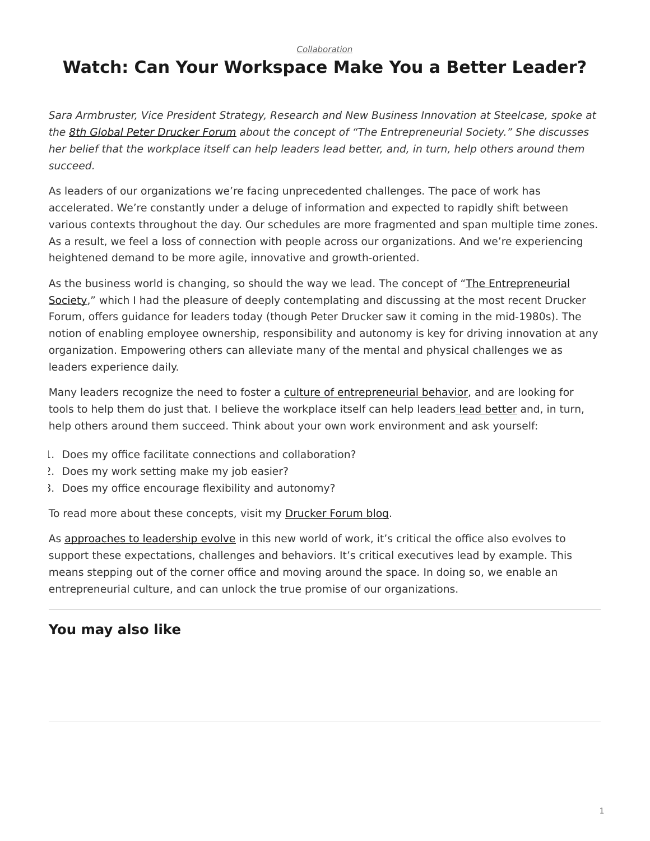*[Collaboration](https://www.steelcase.com/research/topics/collaboration/)*

## <span id="page-0-0"></span>**Watch: Can Your Workspace Make You a Better Leader?**

*Sara Armbruster, Vice President Strategy, Research and New Business Innovation at Steelcase, spoke at the [8th Global Peter Drucker Forum](https://www.druckerforum.org/blog/?p=1433) about the concept of "The Entrepreneurial Society." She discusses her belief that the workplace itself can help leaders lead better, and, in turn, help others around them succeed.*

As leaders of our organizations we're facing unprecedented challenges. The pace of work has accelerated. We're constantly under a deluge of information and expected to rapidly shift between various contexts throughout the day. Our schedules are more fragmented and span multiple time zones. As a result, we feel a loss of connection with people across our organizations. And we're experiencing heightened demand to be more agile, innovative and growth-oriented.

As the business world is changing, so should the way we lead. The concept of "[The Entrepreneurial](https://www.druckerforum.org/blog/?p=1433) [Society](https://www.druckerforum.org/blog/?p=1433)," which I had the pleasure of deeply contemplating and discussing at the most recent Drucker Forum, offers guidance for leaders today (though Peter Drucker saw it coming in the mid-1980s). The notion of enabling employee ownership, responsibility and autonomy is key for driving innovation at any organization. Empowering others can alleviate many of the mental and physical challenges we as leaders experience daily.

Many leaders recognize the need to foster a [culture of entrepreneurial behavior](https://www.steelcase.com/insights/articles/igniting-a-sense-of-startup-culture/), and are looking for tools to help them do just that. I believe the workplace itself can help leaders [lead better](https://www.steelcase.com/insights/360-magazine/office-renaissance/) and, in turn, help others around them succeed. Think about your own work environment and ask yourself:

- 1. Does my office facilitate connections and collaboration?
- 2. Does my work setting make my job easier?
- 3. Does my office encourage flexibility and autonomy?

To read more about these concepts, visit my [Drucker Forum blog.](https://www.druckerforum.org/blog/?p=1433)

As [approaches to leadership evolve](https://www.steelcase.com/insights/360-magazine/office-renaissance/) in this new world of work, it's critical the office also evolves to support these expectations, challenges and behaviors. It's critical executives lead by example. This means stepping out of the corner office and moving around the space. In doing so, we enable an entrepreneurial culture, and can unlock the true promise of our organizations.

## **You may also like**